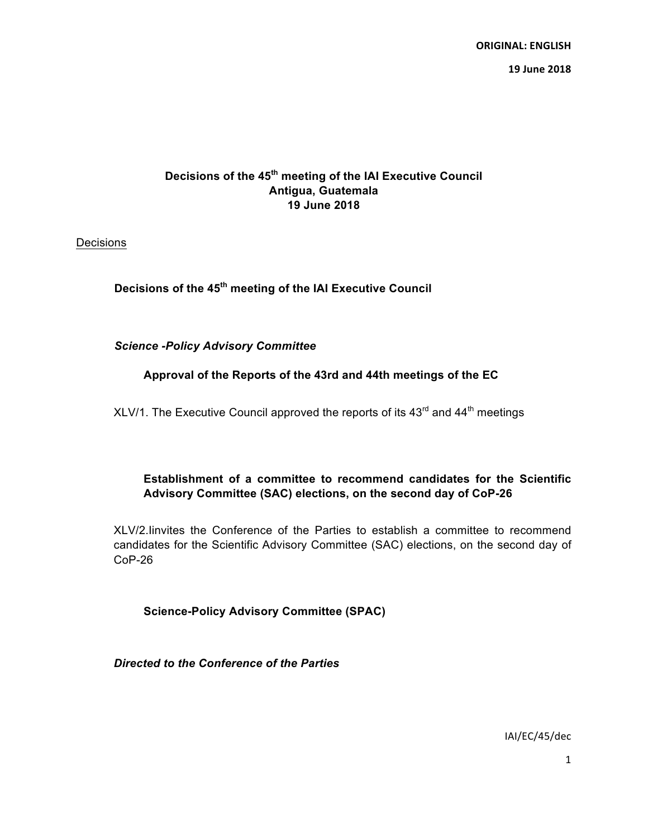**ORIGINAL: ENGLISH 19 June 2018**

# **Decisions of the 45th meeting of the IAI Executive Council Antigua, Guatemala 19 June 2018**

Decisions

**Decisions of the 45th meeting of the IAI Executive Council**

*Science -Policy Advisory Committee*

## **Approval of the Reports of the 43rd and 44th meetings of the EC**

XLV/1. The Executive Council approved the reports of its  $43<sup>rd</sup>$  and  $44<sup>th</sup>$  meetings

# **Establishment of a committee to recommend candidates for the Scientific Advisory Committee (SAC) elections, on the second day of CoP-26**

XLV/2.Iinvites the Conference of the Parties to establish a committee to recommend candidates for the Scientific Advisory Committee (SAC) elections, on the second day of CoP-26

**Science-Policy Advisory Committee (SPAC)**

*Directed to the Conference of the Parties*

IAI/EC/45/dec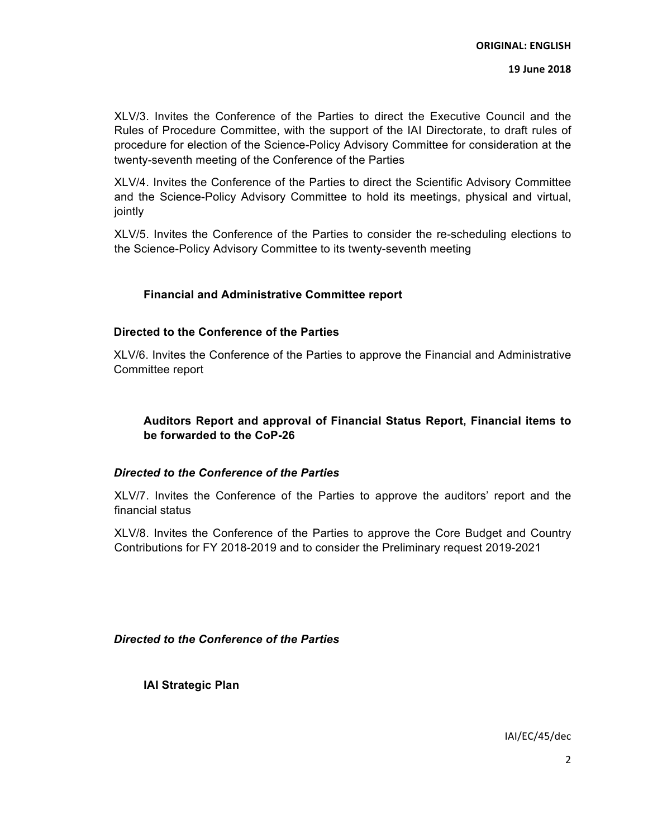#### **19 June 2018**

XLV/3. Invites the Conference of the Parties to direct the Executive Council and the Rules of Procedure Committee, with the support of the IAI Directorate, to draft rules of procedure for election of the Science-Policy Advisory Committee for consideration at the twenty-seventh meeting of the Conference of the Parties

XLV/4. Invites the Conference of the Parties to direct the Scientific Advisory Committee and the Science-Policy Advisory Committee to hold its meetings, physical and virtual, jointly

XLV/5. Invites the Conference of the Parties to consider the re-scheduling elections to the Science-Policy Advisory Committee to its twenty-seventh meeting

### **Financial and Administrative Committee report**

### **Directed to the Conference of the Parties**

XLV/6. Invites the Conference of the Parties to approve the Financial and Administrative Committee report

### **Auditors Report and approval of Financial Status Report, Financial items to be forwarded to the CoP-26**

### *Directed to the Conference of the Parties*

XLV/7. Invites the Conference of the Parties to approve the auditors' report and the financial status

XLV/8. Invites the Conference of the Parties to approve the Core Budget and Country Contributions for FY 2018-2019 and to consider the Preliminary request 2019-2021

*Directed to the Conference of the Parties*

**IAI Strategic Plan**

IAI/EC/45/dec